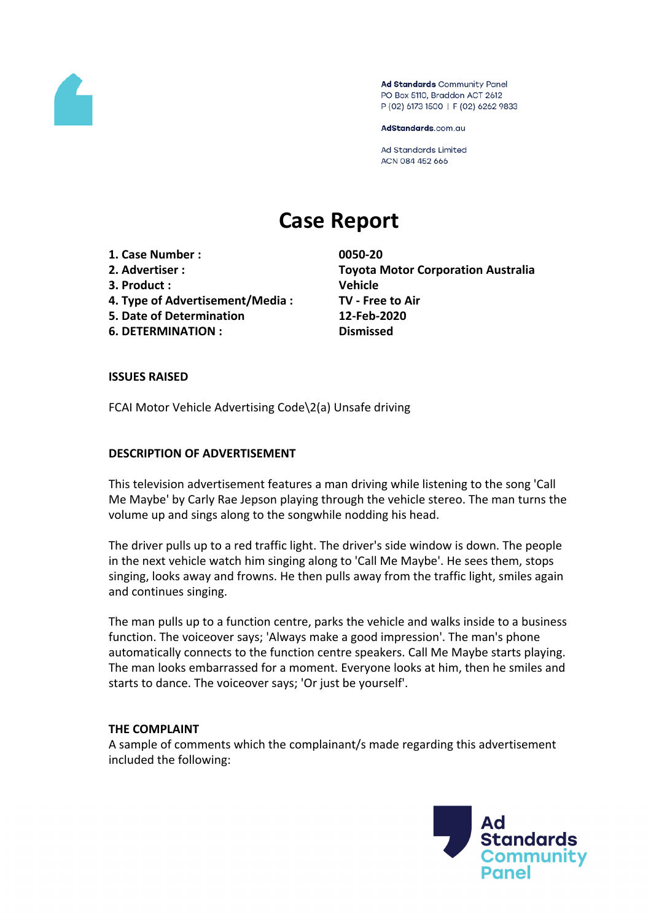

Ad Standards Community Panel PO Box 5110, Braddon ACT 2612 P (02) 6173 1500 | F (02) 6262 9833

AdStandards.com.au

**Ad Standards Limited** ACN 084 452 666

# **Case Report**

- **1. Case Number : 0050-20**
- 
- **3. Product : Vehicle**
- **4. Type of Advertisement/Media : TV - Free to Air**
- **5. Date of Determination 12-Feb-2020**
- **6. DETERMINATION : Dismissed**

**2. Advertiser : Toyota Motor Corporation Australia**

### **ISSUES RAISED**

FCAI Motor Vehicle Advertising Code\2(a) Unsafe driving

#### **DESCRIPTION OF ADVERTISEMENT**

This television advertisement features a man driving while listening to the song 'Call Me Maybe' by Carly Rae Jepson playing through the vehicle stereo. The man turns the volume up and sings along to the songwhile nodding his head.

The driver pulls up to a red traffic light. The driver's side window is down. The people in the next vehicle watch him singing along to 'Call Me Maybe'. He sees them, stops singing, looks away and frowns. He then pulls away from the traffic light, smiles again and continues singing.

The man pulls up to a function centre, parks the vehicle and walks inside to a business function. The voiceover says; 'Always make a good impression'. The man's phone automatically connects to the function centre speakers. Call Me Maybe starts playing. The man looks embarrassed for a moment. Everyone looks at him, then he smiles and starts to dance. The voiceover says; 'Or just be yourself'.

#### **THE COMPLAINT**

A sample of comments which the complainant/s made regarding this advertisement included the following:

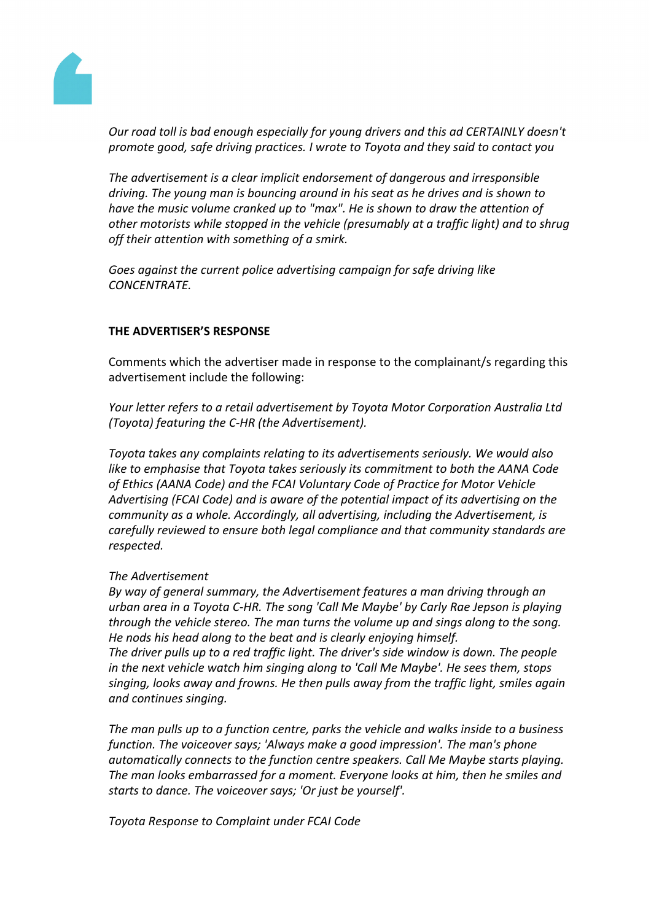

*Our road toll is bad enough especially for young drivers and this ad CERTAINLY doesn't promote good, safe driving practices. I wrote to Toyota and they said to contact you*

*The advertisement is a clear implicit endorsement of dangerous and irresponsible driving. The young man is bouncing around in his seat as he drives and is shown to have the music volume cranked up to "max". He is shown to draw the attention of other motorists while stopped in the vehicle (presumably at a traffic light) and to shrug off their attention with something of a smirk.*

*Goes against the current police advertising campaign for safe driving like CONCENTRATE.*

### **THE ADVERTISER'S RESPONSE**

Comments which the advertiser made in response to the complainant/s regarding this advertisement include the following:

*Your letter refers to a retail advertisement by Toyota Motor Corporation Australia Ltd (Toyota) featuring the C-HR (the Advertisement).*

*Toyota takes any complaints relating to its advertisements seriously. We would also like to emphasise that Toyota takes seriously its commitment to both the AANA Code of Ethics (AANA Code) and the FCAI Voluntary Code of Practice for Motor Vehicle Advertising (FCAI Code) and is aware of the potential impact of its advertising on the community as a whole. Accordingly, all advertising, including the Advertisement, is carefully reviewed to ensure both legal compliance and that community standards are respected.*

### *The Advertisement*

*By way of general summary, the Advertisement features a man driving through an urban area in a Toyota C-HR. The song 'Call Me Maybe' by Carly Rae Jepson is playing through the vehicle stereo. The man turns the volume up and sings along to the song. He nods his head along to the beat and is clearly enjoying himself.*

*The driver pulls up to a red traffic light. The driver's side window is down. The people in the next vehicle watch him singing along to 'Call Me Maybe'. He sees them, stops singing, looks away and frowns. He then pulls away from the traffic light, smiles again and continues singing.*

*The man pulls up to a function centre, parks the vehicle and walks inside to a business function. The voiceover says; 'Always make a good impression'. The man's phone automatically connects to the function centre speakers. Call Me Maybe starts playing. The man looks embarrassed for a moment. Everyone looks at him, then he smiles and starts to dance. The voiceover says; 'Or just be yourself'.*

*Toyota Response to Complaint under FCAI Code*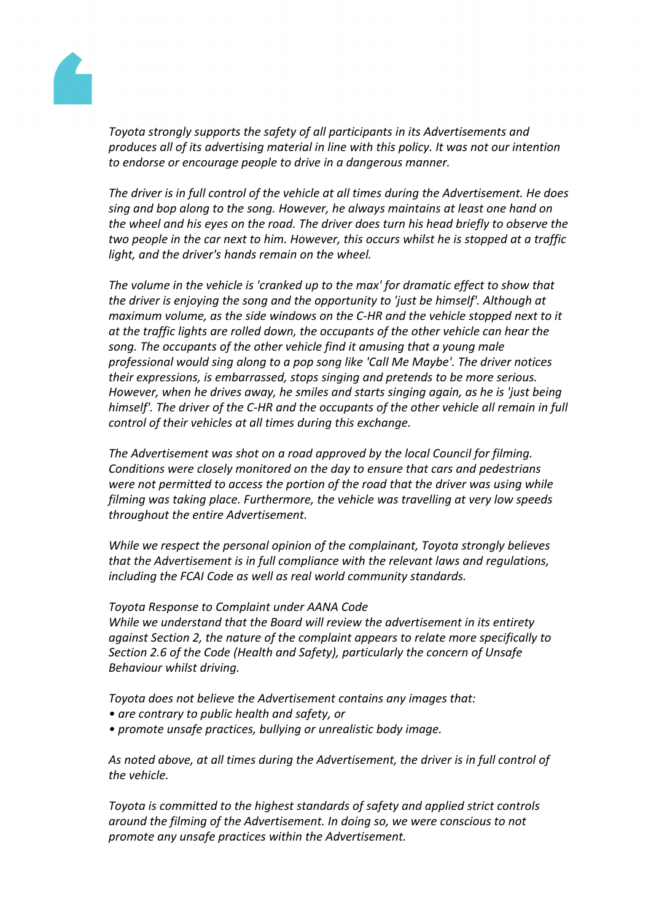

*Toyota strongly supports the safety of all participants in its Advertisements and produces all of its advertising material in line with this policy. It was not our intention to endorse or encourage people to drive in a dangerous manner.*

*The driver is in full control of the vehicle at all times during the Advertisement. He does sing and bop along to the song. However, he always maintains at least one hand on the wheel and his eyes on the road. The driver does turn his head briefly to observe the two people in the car next to him. However, this occurs whilst he is stopped at a traffic light, and the driver's hands remain on the wheel.*

*The volume in the vehicle is 'cranked up to the max' for dramatic effect to show that the driver is enjoying the song and the opportunity to 'just be himself'. Although at maximum volume, as the side windows on the C-HR and the vehicle stopped next to it at the traffic lights are rolled down, the occupants of the other vehicle can hear the song. The occupants of the other vehicle find it amusing that a young male professional would sing along to a pop song like 'Call Me Maybe'. The driver notices their expressions, is embarrassed, stops singing and pretends to be more serious. However, when he drives away, he smiles and starts singing again, as he is 'just being himself'. The driver of the C-HR and the occupants of the other vehicle all remain in full control of their vehicles at all times during this exchange.*

*The Advertisement was shot on a road approved by the local Council for filming. Conditions were closely monitored on the day to ensure that cars and pedestrians were not permitted to access the portion of the road that the driver was using while filming was taking place. Furthermore, the vehicle was travelling at very low speeds throughout the entire Advertisement.*

*While we respect the personal opinion of the complainant, Toyota strongly believes that the Advertisement is in full compliance with the relevant laws and regulations, including the FCAI Code as well as real world community standards.*

### *Toyota Response to Complaint under AANA Code*

*While we understand that the Board will review the advertisement in its entirety against Section 2, the nature of the complaint appears to relate more specifically to Section 2.6 of the Code (Health and Safety), particularly the concern of Unsafe Behaviour whilst driving.*

*Toyota does not believe the Advertisement contains any images that:*

- *• are contrary to public health and safety, or*
- *• promote unsafe practices, bullying or unrealistic body image.*

*As noted above, at all times during the Advertisement, the driver is in full control of the vehicle.*

*Toyota is committed to the highest standards of safety and applied strict controls around the filming of the Advertisement. In doing so, we were conscious to not promote any unsafe practices within the Advertisement.*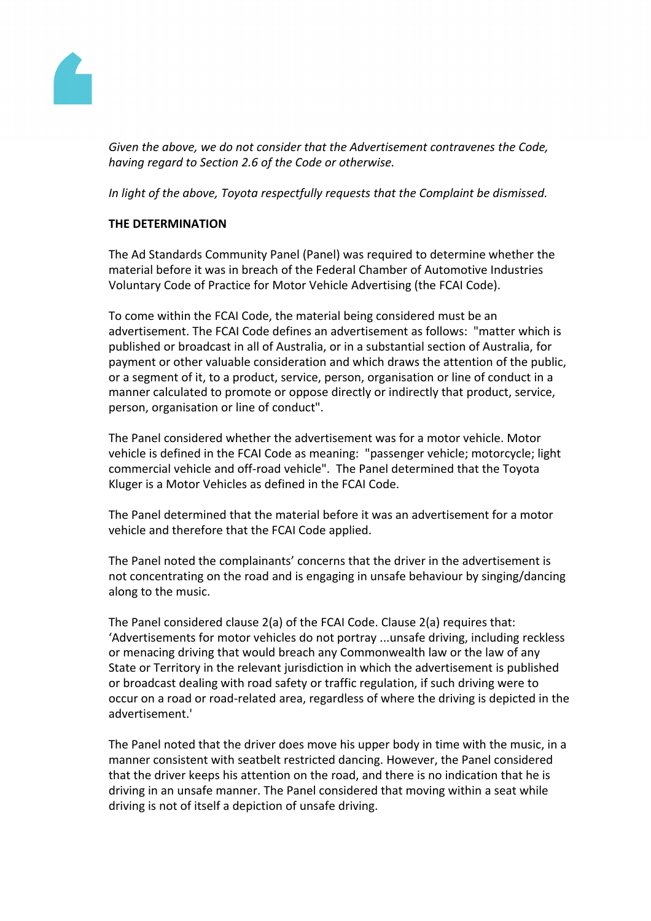

*Given the above, we do not consider that the Advertisement contravenes the Code, having regard to Section 2.6 of the Code or otherwise.*

*In light of the above, Toyota respectfully requests that the Complaint be dismissed.*

## **THE DETERMINATION**

The Ad Standards Community Panel (Panel) was required to determine whether the material before it was in breach of the Federal Chamber of Automotive Industries Voluntary Code of Practice for Motor Vehicle Advertising (the FCAI Code).

To come within the FCAI Code, the material being considered must be an advertisement. The FCAI Code defines an advertisement as follows: "matter which is published or broadcast in all of Australia, or in a substantial section of Australia, for payment or other valuable consideration and which draws the attention of the public, or a segment of it, to a product, service, person, organisation or line of conduct in a manner calculated to promote or oppose directly or indirectly that product, service, person, organisation or line of conduct".

The Panel considered whether the advertisement was for a motor vehicle. Motor vehicle is defined in the FCAI Code as meaning: "passenger vehicle; motorcycle; light commercial vehicle and off-road vehicle". The Panel determined that the Toyota Kluger is a Motor Vehicles as defined in the FCAI Code.

The Panel determined that the material before it was an advertisement for a motor vehicle and therefore that the FCAI Code applied.

The Panel noted the complainants' concerns that the driver in the advertisement is not concentrating on the road and is engaging in unsafe behaviour by singing/dancing along to the music.

The Panel considered clause 2(a) of the FCAI Code. Clause 2(a) requires that: 'Advertisements for motor vehicles do not portray ...unsafe driving, including reckless or menacing driving that would breach any Commonwealth law or the law of any State or Territory in the relevant jurisdiction in which the advertisement is published or broadcast dealing with road safety or traffic regulation, if such driving were to occur on a road or road-related area, regardless of where the driving is depicted in the advertisement.'

The Panel noted that the driver does move his upper body in time with the music, in a manner consistent with seatbelt restricted dancing. However, the Panel considered that the driver keeps his attention on the road, and there is no indication that he is driving in an unsafe manner. The Panel considered that moving within a seat while driving is not of itself a depiction of unsafe driving.